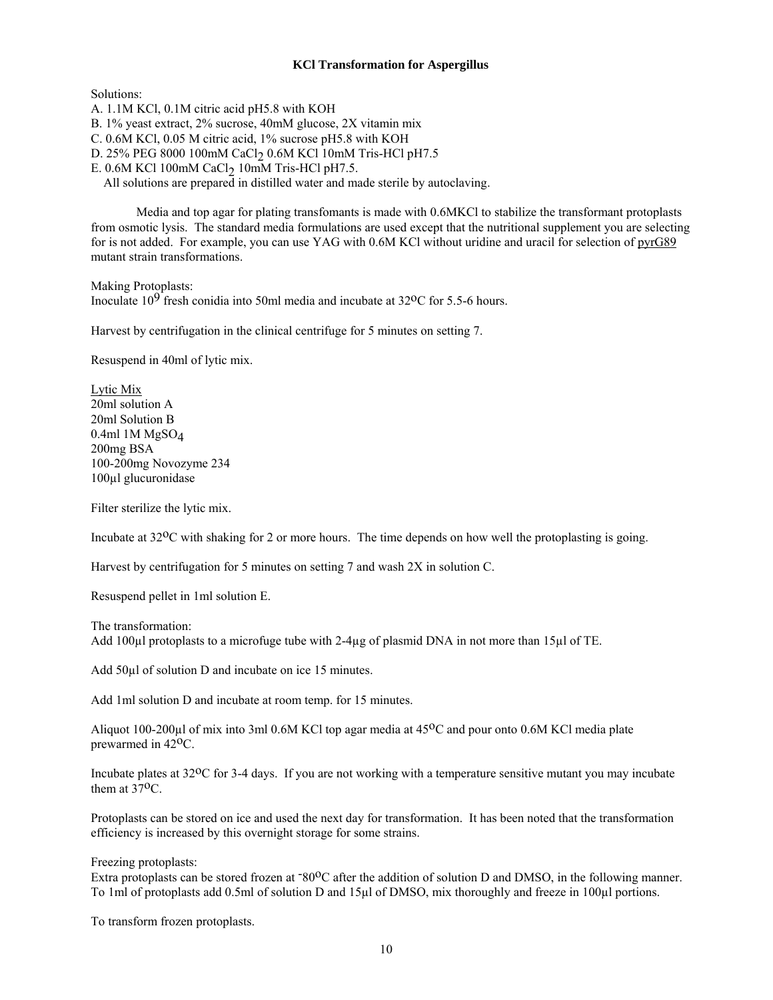## **KCl Transformation for Aspergillus**

Solutions:

A. 1.1M KCl, 0.1M citric acid pH5.8 with KOH B. 1% yeast extract, 2% sucrose, 40mM glucose, 2X vitamin mix C. 0.6M KCl, 0.05 M citric acid, 1% sucrose pH5.8 with KOH D. 25% PEG 8000 100mM CaCl<sub>2</sub> 0.6M KCl 10mM Tris-HCl pH7.5 E. 0.6M KCl 100mM CaCl<sub>2</sub> 10mM Tris-HCl pH7.5. All solutions are prepared in distilled water and made sterile by autoclaving.

 Media and top agar for plating transfomants is made with 0.6MKCl to stabilize the transformant protoplasts from osmotic lysis. The standard media formulations are used except that the nutritional supplement you are selecting for is not added. For example, you can use YAG with 0.6M KCl without uridine and uracil for selection of pyrG89 mutant strain transformations.

Making Protoplasts: Inoculate  $10^9$  fresh conidia into 50ml media and incubate at 32<sup>o</sup>C for 5.5-6 hours.

Harvest by centrifugation in the clinical centrifuge for 5 minutes on setting 7.

Resuspend in 40ml of lytic mix.

Lytic Mix 20ml solution A 20ml Solution B 0.4ml 1M MgSO4 200mg BSA 100-200mg Novozyme 234 100µl glucuronidase

Filter sterilize the lytic mix.

Incubate at 32oC with shaking for 2 or more hours. The time depends on how well the protoplasting is going.

Harvest by centrifugation for 5 minutes on setting 7 and wash 2X in solution C.

Resuspend pellet in 1ml solution E.

The transformation: Add 100µl protoplasts to a microfuge tube with 2-4µg of plasmid DNA in not more than 15µl of TE.

Add 50µl of solution D and incubate on ice 15 minutes.

Add 1ml solution D and incubate at room temp. for 15 minutes.

Aliquot 100-200µl of mix into 3ml 0.6M KCl top agar media at 45<sup>o</sup>C and pour onto 0.6M KCl media plate prewarmed in 42oC.

Incubate plates at 32<sup>o</sup>C for 3-4 days. If you are not working with a temperature sensitive mutant you may incubate them at 37<sup>o</sup>C.

Protoplasts can be stored on ice and used the next day for transformation. It has been noted that the transformation efficiency is increased by this overnight storage for some strains.

Freezing protoplasts:

Extra protoplasts can be stored frozen at -80<sup>o</sup>C after the addition of solution D and DMSO, in the following manner. To 1ml of protoplasts add 0.5ml of solution D and 15µl of DMSO, mix thoroughly and freeze in 100µl portions.

To transform frozen protoplasts.